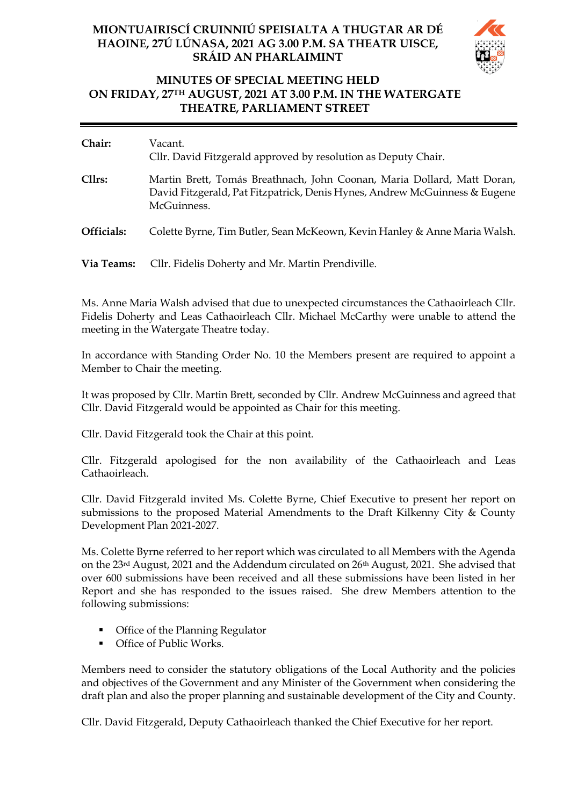## **MIONTUAIRISCÍ CRUINNIÚ SPEISIALTA A THUGTAR AR DÉ HAOINE, 27Ú LÚNASA, 2021 AG 3.00 P.M. SA THEATR UISCE, SRÁID AN PHARLAIMINT**



## **MINUTES OF SPECIAL MEETING HELD ON FRIDAY, 27TH AUGUST, 2021 AT 3.00 P.M. IN THE WATERGATE THEATRE, PARLIAMENT STREET**

| Chair:     | Vacant.<br>Cllr. David Fitzgerald approved by resolution as Deputy Chair.                                                                                            |
|------------|----------------------------------------------------------------------------------------------------------------------------------------------------------------------|
| Cllrs:     | Martin Brett, Tomás Breathnach, John Coonan, Maria Dollard, Matt Doran,<br>David Fitzgerald, Pat Fitzpatrick, Denis Hynes, Andrew McGuinness & Eugene<br>McGuinness. |
| Officials: | Colette Byrne, Tim Butler, Sean McKeown, Kevin Hanley & Anne Maria Walsh.                                                                                            |
| Via Teams: | Cllr. Fidelis Doherty and Mr. Martin Prendiville.                                                                                                                    |

Ms. Anne Maria Walsh advised that due to unexpected circumstances the Cathaoirleach Cllr. Fidelis Doherty and Leas Cathaoirleach Cllr. Michael McCarthy were unable to attend the meeting in the Watergate Theatre today.

In accordance with Standing Order No. 10 the Members present are required to appoint a Member to Chair the meeting.

It was proposed by Cllr. Martin Brett, seconded by Cllr. Andrew McGuinness and agreed that Cllr. David Fitzgerald would be appointed as Chair for this meeting.

Cllr. David Fitzgerald took the Chair at this point.

Cllr. Fitzgerald apologised for the non availability of the Cathaoirleach and Leas Cathaoirleach.

Cllr. David Fitzgerald invited Ms. Colette Byrne, Chief Executive to present her report on submissions to the proposed Material Amendments to the Draft Kilkenny City & County Development Plan 2021-2027.

Ms. Colette Byrne referred to her report which was circulated to all Members with the Agenda on the 23rd August, 2021 and the Addendum circulated on 26th August, 2021. She advised that over 600 submissions have been received and all these submissions have been listed in her Report and she has responded to the issues raised. She drew Members attention to the following submissions:

- Office of the Planning Regulator
- Office of Public Works.

Members need to consider the statutory obligations of the Local Authority and the policies and objectives of the Government and any Minister of the Government when considering the draft plan and also the proper planning and sustainable development of the City and County.

Cllr. David Fitzgerald, Deputy Cathaoirleach thanked the Chief Executive for her report.